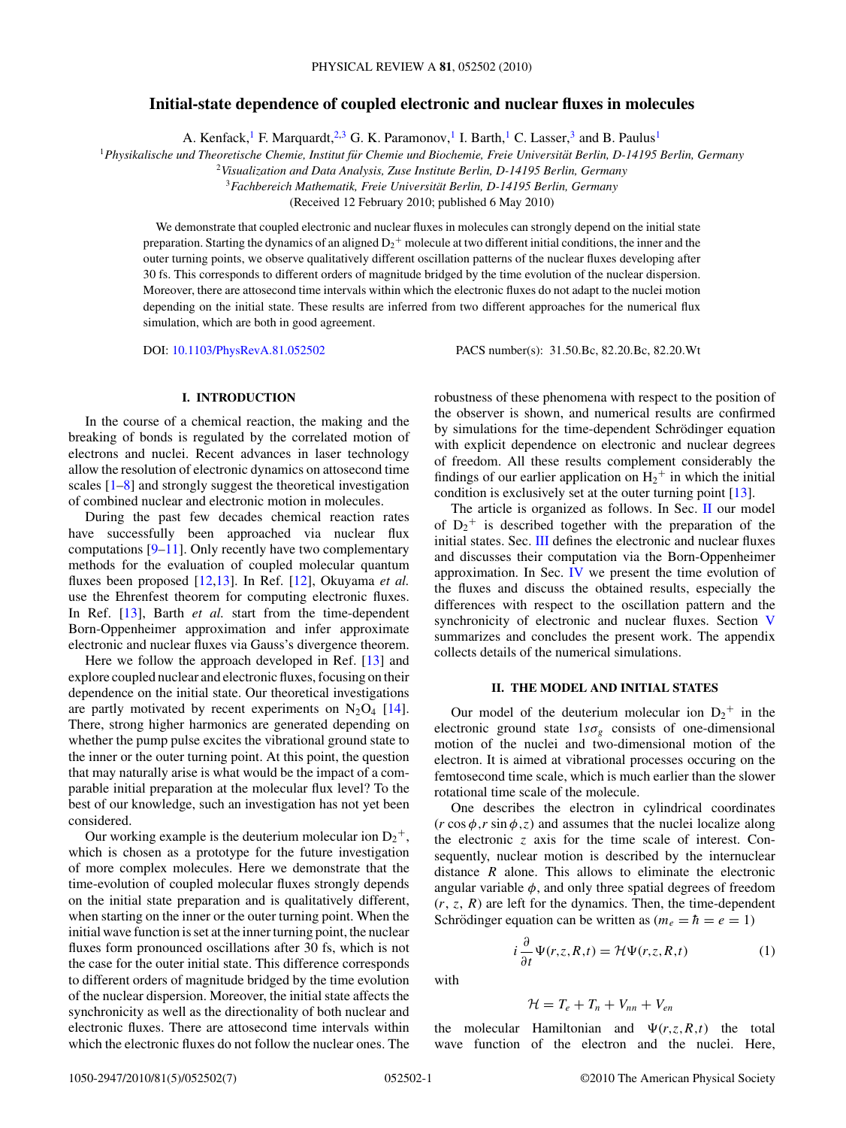# <span id="page-0-0"></span>**Initial-state dependence of coupled electronic and nuclear fluxes in molecules**

A. Kenfack,<sup>1</sup> F. Marquardt,<sup>2,3</sup> G. K. Paramonov,<sup>1</sup> I. Barth,<sup>1</sup> C. Lasser,<sup>3</sup> and B. Paulus<sup>1</sup>

<sup>1</sup> Physikalische und Theoretische Chemie, Institut für Chemie und Biochemie, Freie Universität Berlin, D-14195 Berlin, Germany

<sup>2</sup>*Visualization and Data Analysis, Zuse Institute Berlin, D-14195 Berlin, Germany*

<sup>3</sup>*Fachbereich Mathematik, Freie Universitat Berlin, D-14195 Berlin, Germany ¨*

(Received 12 February 2010; published 6 May 2010)

We demonstrate that coupled electronic and nuclear fluxes in molecules can strongly depend on the initial state preparation. Starting the dynamics of an aligned  $D_2^+$  molecule at two different initial conditions, the inner and the outer turning points, we observe qualitatively different oscillation patterns of the nuclear fluxes developing after 30 fs. This corresponds to different orders of magnitude bridged by the time evolution of the nuclear dispersion. Moreover, there are attosecond time intervals within which the electronic fluxes do not adapt to the nuclei motion depending on the initial state. These results are inferred from two different approaches for the numerical flux simulation, which are both in good agreement.

DOI: [10.1103/PhysRevA.81.052502](http://dx.doi.org/10.1103/PhysRevA.81.052502) PACS number(s): 31*.*50*.*Bc, 82*.*20*.*Bc, 82*.*20*.*Wt

## **I. INTRODUCTION**

In the course of a chemical reaction, the making and the breaking of bonds is regulated by the correlated motion of electrons and nuclei. Recent advances in laser technology allow the resolution of electronic dynamics on attosecond time scales [\[1–8\]](#page-6-0) and strongly suggest the theoretical investigation of combined nuclear and electronic motion in molecules.

During the past few decades chemical reaction rates have successfully been approached via nuclear flux computations [\[9–11\]](#page-6-0). Only recently have two complementary methods for the evaluation of coupled molecular quantum fluxes been proposed [\[12,13\]](#page-6-0). In Ref. [\[12\]](#page-6-0), Okuyama *et al.* use the Ehrenfest theorem for computing electronic fluxes. In Ref. [\[13\]](#page-6-0), Barth *et al.* start from the time-dependent Born-Oppenheimer approximation and infer approximate electronic and nuclear fluxes via Gauss's divergence theorem.

Here we follow the approach developed in Ref. [\[13\]](#page-6-0) and explore coupled nuclear and electronic fluxes, focusing on their dependence on the initial state. Our theoretical investigations are partly motivated by recent experiments on  $N_2O_4$  [\[14\]](#page-6-0). There, strong higher harmonics are generated depending on whether the pump pulse excites the vibrational ground state to the inner or the outer turning point. At this point, the question that may naturally arise is what would be the impact of a comparable initial preparation at the molecular flux level? To the best of our knowledge, such an investigation has not yet been considered.

Our working example is the deuterium molecular ion  $D_2^+$ , which is chosen as a prototype for the future investigation of more complex molecules. Here we demonstrate that the time-evolution of coupled molecular fluxes strongly depends on the initial state preparation and is qualitatively different, when starting on the inner or the outer turning point. When the initial wave function is set at the inner turning point, the nuclear fluxes form pronounced oscillations after 30 fs, which is not the case for the outer initial state. This difference corresponds to different orders of magnitude bridged by the time evolution of the nuclear dispersion. Moreover, the initial state affects the synchronicity as well as the directionality of both nuclear and electronic fluxes. There are attosecond time intervals within which the electronic fluxes do not follow the nuclear ones. The

robustness of these phenomena with respect to the position of the observer is shown, and numerical results are confirmed by simulations for the time-dependent Schrödinger equation with explicit dependence on electronic and nuclear degrees of freedom. All these results complement considerably the findings of our earlier application on  $H_2^+$  in which the initial condition is exclusively set at the outer turning point [\[13\]](#page-6-0).

The article is organized as follows. In Sec. II our model of  $D_2$ <sup>+</sup> is described together with the preparation of the initial states. Sec. [III](#page-1-0) defines the electronic and nuclear fluxes and discusses their computation via the Born-Oppenheimer approximation. In Sec. [IV](#page-2-0) we present the time evolution of the fluxes and discuss the obtained results, especially the differences with respect to the oscillation pattern and the synchronicity of electronic and nuclear fluxes. Section [V](#page-5-0) summarizes and concludes the present work. The appendix collects details of the numerical simulations.

## **II. THE MODEL AND INITIAL STATES**

Our model of the deuterium molecular ion  $D_2$ <sup>+</sup> in the electronic ground state  $1s\sigma_g$  consists of one-dimensional motion of the nuclei and two-dimensional motion of the electron. It is aimed at vibrational processes occuring on the femtosecond time scale, which is much earlier than the slower rotational time scale of the molecule.

One describes the electron in cylindrical coordinates  $(r \cos \phi, r \sin \phi, z)$  and assumes that the nuclei localize along the electronic *z* axis for the time scale of interest. Consequently, nuclear motion is described by the internuclear distance *R* alone. This allows to eliminate the electronic angular variable  $\phi$ , and only three spatial degrees of freedom (*r*, *z*, *R*) are left for the dynamics. Then, the time-dependent Schrödinger equation can be written as  $(m_e = \hbar = e = 1)$ 

with

*i ∂*

$$
\mathcal{H}=T_e+T_n+V_{nn}+V_{en}
$$

the molecular Hamiltonian and  $\Psi(r,z,R,t)$  the total wave function of the electron and the nuclei. Here,

 $\frac{\partial}{\partial t} \Psi(r, z, R, t) = \mathcal{H} \Psi(r, z, R, t)$  (1)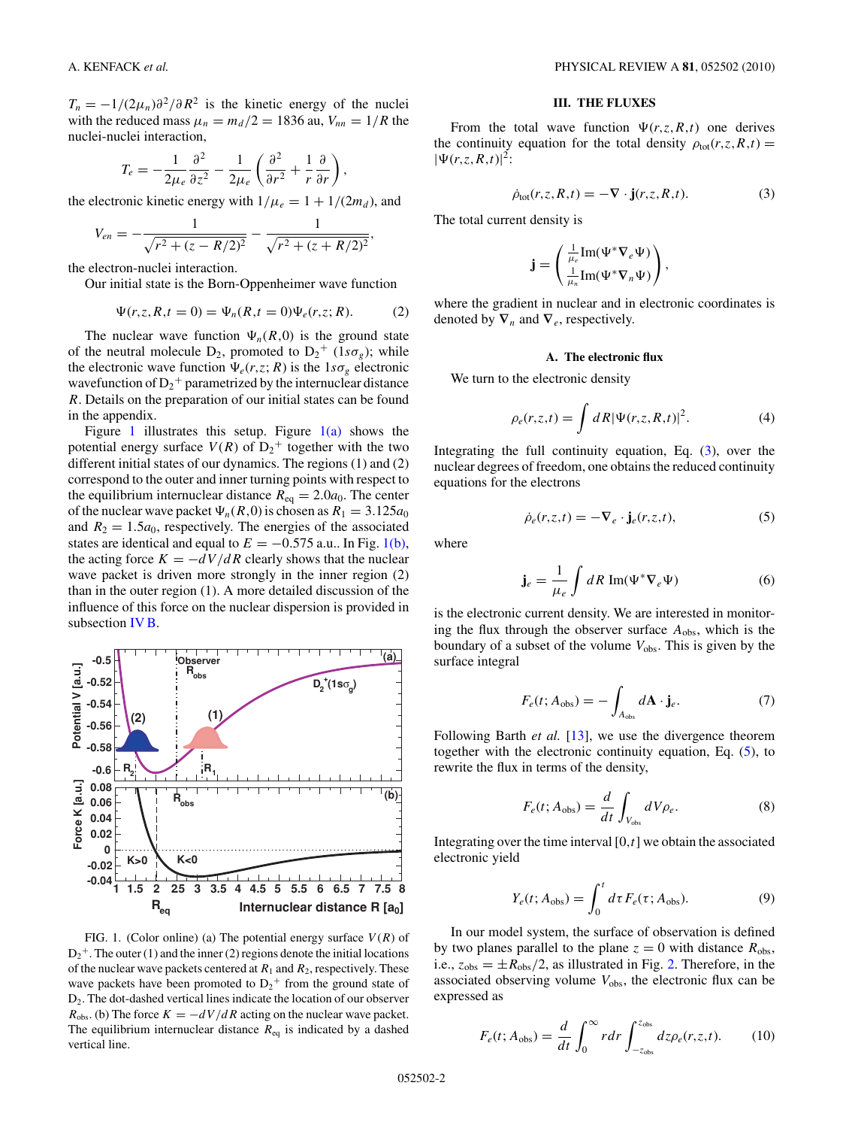<span id="page-1-0"></span> $T_n = -1/(2\mu_n)\partial^2/\partial R^2$  is the kinetic energy of the nuclei with the reduced mass  $\mu_n = m_d/2 = 1836$  au,  $V_{nn} = 1/R$  the nuclei-nuclei interaction,

$$
T_e = -\frac{1}{2\mu_e} \frac{\partial^2}{\partial z^2} - \frac{1}{2\mu_e} \left( \frac{\partial^2}{\partial r^2} + \frac{1}{r} \frac{\partial}{\partial r} \right),
$$

the electronic kinetic energy with  $1/\mu_e = 1 + 1/(2m_d)$ , and

$$
V_{en} = -\frac{1}{\sqrt{r^2 + (z - R/2)^2}} - \frac{1}{\sqrt{r^2 + (z + R/2)^2}},
$$

the electron-nuclei interaction.

Our initial state is the Born-Oppenheimer wave function

$$
\Psi(r, z, R, t = 0) = \Psi_n(R, t = 0)\Psi_e(r, z; R). \tag{2}
$$

The nuclear wave function  $\Psi_n(R,0)$  is the ground state of the neutral molecule  $D_2$ , promoted to  $D_2$ <sup>+</sup> (1*s* $\sigma_g$ ); while the electronic wave function  $\Psi_e(r, z; R)$  is the  $1s\sigma_g$  electronic wavefunction of  $D_2$ <sup>+</sup> parametrized by the internuclear distance *R*. Details on the preparation of our initial states can be found in the appendix.

Figure 1 illustrates this setup. Figure  $1(a)$  shows the potential energy surface  $V(R)$  of  $D_2$ <sup>+</sup> together with the two different initial states of our dynamics. The regions (1) and (2) correspond to the outer and inner turning points with respect to the equilibrium internuclear distance  $R_{eq} = 2.0a_0$ . The center of the nuclear wave packet  $\Psi_n(R,0)$  is chosen as  $R_1 = 3.125a_0$ and  $R_2 = 1.5a_0$ , respectively. The energies of the associated states are identical and equal to  $E = -0.575$  a.u.. In Fig. 1(b), the acting force  $K = -dV/dR$  clearly shows that the nuclear wave packet is driven more strongly in the inner region (2) than in the outer region (1). A more detailed discussion of the influence of this force on the nuclear dispersion is provided in subsection [IV B.](#page-4-0)



FIG. 1. (Color online) (a) The potential energy surface  $V(R)$  of  $D_2^+$ . The outer (1) and the inner (2) regions denote the initial locations of the nuclear wave packets centered at  $R_1$  and  $R_2$ , respectively. These wave packets have been promoted to  $D_2$ <sup>+</sup> from the ground state of D2. The dot-dashed vertical lines indicate the location of our observer  $R_{\text{obs}}$ . (b) The force  $K = -dV/dR$  acting on the nuclear wave packet. The equilibrium internuclear distance  $R_{eq}$  is indicated by a dashed vertical line.

### **III. THE FLUXES**

From the total wave function  $\Psi(r,z,R,t)$  one derives the continuity equation for the total density  $\rho_{tot}(r, z, R, t) =$  $|\Psi(r, z, R, t)|^2$ :

$$
\dot{\rho}_{\text{tot}}(r,z,R,t) = -\nabla \cdot \mathbf{j}(r,z,R,t). \tag{3}
$$

The total current density is

$$
\mathbf{j} = \begin{pmatrix} \frac{1}{\mu_e} \text{Im}(\Psi^* \nabla_e \Psi) \\ \frac{1}{\mu_n} \text{Im}(\Psi^* \nabla_n \Psi) \end{pmatrix},
$$

where the gradient in nuclear and in electronic coordinates is denoted by  $\nabla_n$  and  $\nabla_e$ , respectively.

### **A. The electronic flux**

We turn to the electronic density

$$
\rho_e(r,z,t) = \int dR |\Psi(r,z,R,t)|^2.
$$
 (4)

Integrating the full continuity equation, Eq. (3), over the nuclear degrees of freedom, one obtains the reduced continuity equations for the electrons

$$
\dot{\rho}_e(r,z,t) = -\nabla_e \cdot \mathbf{j}_e(r,z,t),\tag{5}
$$

where

$$
\mathbf{j}_e = \frac{1}{\mu_e} \int dR \, \text{Im}(\Psi^* \nabla_e \Psi) \tag{6}
$$

is the electronic current density. We are interested in monitoring the flux through the observer surface  $A_{obs}$ , which is the boundary of a subset of the volume  $V_{obs}$ . This is given by the surface integral

$$
F_e(t; A_{\text{obs}}) = -\int_{A_{\text{obs}}} d\mathbf{A} \cdot \mathbf{j}_e. \tag{7}
$$

Following Barth *et al.* [\[13\]](#page-6-0), we use the divergence theorem together with the electronic continuity equation, Eq. (5), to rewrite the flux in terms of the density,

$$
F_e(t; A_{\text{obs}}) = \frac{d}{dt} \int_{V_{\text{obs}}} dV \rho_e. \tag{8}
$$

Integrating over the time interval [0*,t*] we obtain the associated electronic yield

$$
Y_e(t; A_{\text{obs}}) = \int_0^t d\tau F_e(\tau; A_{\text{obs}}).
$$
 (9)

In our model system, the surface of observation is defined by two planes parallel to the plane  $z = 0$  with distance  $R_{obs}$ , i.e.,  $z_{obs} = \pm R_{obs}/2$ , as illustrated in Fig. [2.](#page-2-0) Therefore, in the associated observing volume  $V_{obs}$ , the electronic flux can be expressed as

$$
F_e(t; A_{\text{obs}}) = \frac{d}{dt} \int_0^\infty r dr \int_{-z_{\text{obs}}}^{z_{\text{obs}}} dz \rho_e(r, z, t). \tag{10}
$$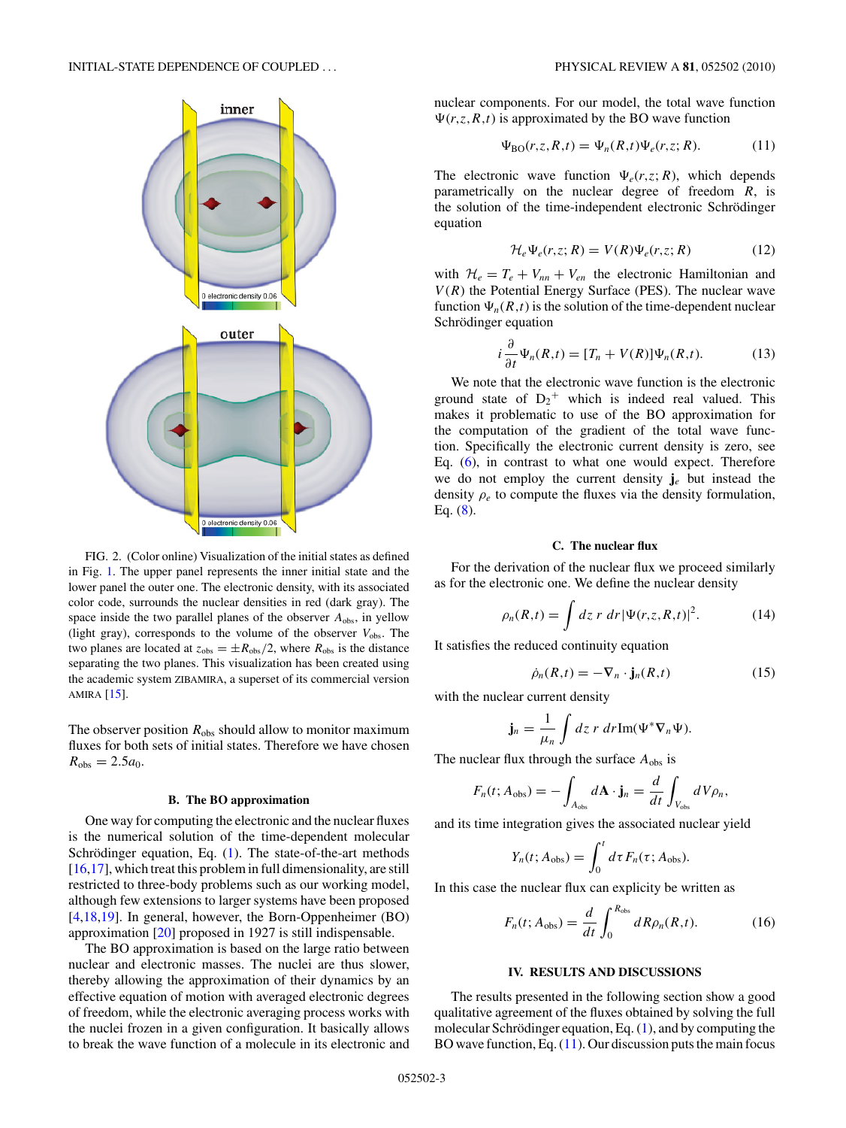<span id="page-2-0"></span>

FIG. 2. (Color online) Visualization of the initial states as defined in Fig. [1.](#page-1-0) The upper panel represents the inner initial state and the lower panel the outer one. The electronic density, with its associated color code, surrounds the nuclear densities in red (dark gray). The space inside the two parallel planes of the observer  $A_{obs}$ , in yellow (light gray), corresponds to the volume of the observer *V*obs. The two planes are located at  $z_{obs} = \pm R_{obs}/2$ , where  $R_{obs}$  is the distance separating the two planes. This visualization has been created using the academic system ZIBAMIRA, a superset of its commercial version AMIRA [\[15\]](#page-6-0).

The observer position  $R_{obs}$  should allow to monitor maximum fluxes for both sets of initial states. Therefore we have chosen  $R_{\text{obs}} = 2.5a_0$ .

#### **B. The BO approximation**

One way for computing the electronic and the nuclear fluxes is the numerical solution of the time-dependent molecular Schrödinger equation, Eq.  $(1)$  $(1)$ . The state-of-the-art methods [\[16,17\]](#page-6-0), which treat this problem in full dimensionality, are still restricted to three-body problems such as our working model, although few extensions to larger systems have been proposed [\[4,18,19\]](#page-6-0). In general, however, the Born-Oppenheimer (BO) approximation [\[20\]](#page-6-0) proposed in 1927 is still indispensable.

The BO approximation is based on the large ratio between nuclear and electronic masses. The nuclei are thus slower, thereby allowing the approximation of their dynamics by an effective equation of motion with averaged electronic degrees of freedom, while the electronic averaging process works with the nuclei frozen in a given configuration. It basically allows to break the wave function of a molecule in its electronic and nuclear components. For our model, the total wave function  $\Psi(r,z,R,t)$  is approximated by the BO wave function

$$
\Psi_{\text{BO}}(r,z,R,t) = \Psi_n(R,t)\Psi_e(r,z;R). \tag{11}
$$

The electronic wave function  $\Psi_e(r,z;R)$ , which depends parametrically on the nuclear degree of freedom *R*, is the solution of the time-independent electronic Schrödinger equation

$$
\mathcal{H}_e \Psi_e(r, z; R) = V(R) \Psi_e(r, z; R)
$$
 (12)

with  $H_e = T_e + V_{nn} + V_{en}$  the electronic Hamiltonian and  $V(R)$  the Potential Energy Surface (PES). The nuclear wave function  $\Psi_n(R,t)$  is the solution of the time-dependent nuclear Schrödinger equation

$$
i\frac{\partial}{\partial t}\Psi_n(R,t) = [T_n + V(R)]\Psi_n(R,t). \tag{13}
$$

We note that the electronic wave function is the electronic ground state of  $D_2$ <sup>+</sup> which is indeed real valued. This makes it problematic to use of the BO approximation for the computation of the gradient of the total wave function. Specifically the electronic current density is zero, see Eq. [\(6\)](#page-1-0), in contrast to what one would expect. Therefore we do not employ the current density  $\mathbf{j}_e$  but instead the density *ρe* to compute the fluxes via the density formulation, Eq.  $(8)$ .

### **C. The nuclear flux**

For the derivation of the nuclear flux we proceed similarly as for the electronic one. We define the nuclear density

$$
\rho_n(R,t) = \int dz \, r \, dr |\Psi(r,z,R,t)|^2. \tag{14}
$$

It satisfies the reduced continuity equation

$$
\dot{\rho}_n(R,t) = -\nabla_n \cdot \mathbf{j}_n(R,t) \tag{15}
$$

with the nuclear current density

$$
\mathbf{j}_n = \frac{1}{\mu_n} \int dz \, r \, dr \mathrm{Im}(\Psi^* \nabla_n \Psi).
$$

The nuclear flux through the surface  $A_{obs}$  is

$$
F_n(t; A_{\text{obs}}) = -\int_{A_{\text{obs}}} d\mathbf{A} \cdot \mathbf{j}_n = \frac{d}{dt} \int_{V_{\text{obs}}} dV \rho_n,
$$

and its time integration gives the associated nuclear yield

$$
Y_n(t; A_{\text{obs}}) = \int_0^t d\tau F_n(\tau; A_{\text{obs}}).
$$

In this case the nuclear flux can explicity be written as

$$
F_n(t; A_{\text{obs}}) = \frac{d}{dt} \int_0^{R_{\text{obs}}} dR \rho_n(R, t). \tag{16}
$$

#### **IV. RESULTS AND DISCUSSIONS**

The results presented in the following section show a good qualitative agreement of the fluxes obtained by solving the full molecular Schrödinger equation, Eq.  $(1)$  $(1)$ , and by computing the BO wave function, Eq. (11). Our discussion puts the main focus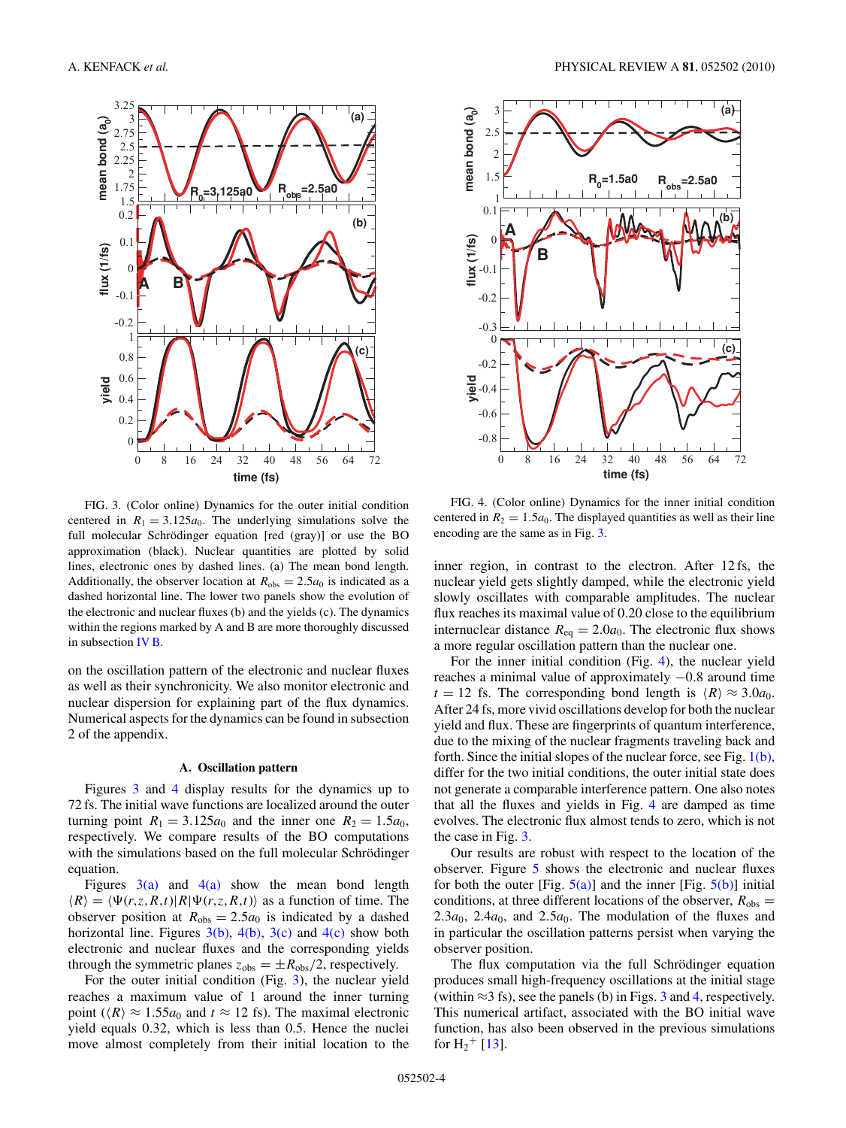<span id="page-3-0"></span>

FIG. 3. (Color online) Dynamics for the outer initial condition centered in  $R_1 = 3.125a_0$ . The underlying simulations solve the full molecular Schrödinger equation [red (gray)] or use the BO approximation (black). Nuclear quantities are plotted by solid lines, electronic ones by dashed lines. (a) The mean bond length. Additionally, the observer location at  $R_{obs} = 2.5a_0$  is indicated as a dashed horizontal line. The lower two panels show the evolution of the electronic and nuclear fluxes (b) and the yields (c). The dynamics within the regions marked by A and B are more thoroughly discussed in subsection [IV B.](#page-4-0)

on the oscillation pattern of the electronic and nuclear fluxes as well as their synchronicity. We also monitor electronic and nuclear dispersion for explaining part of the flux dynamics. Numerical aspects for the dynamics can be found in subsection 2 of the appendix.

## **A. Oscillation pattern**

Figures 3 and 4 display results for the dynamics up to 72 fs. The initial wave functions are localized around the outer turning point  $R_1 = 3.125a_0$  and the inner one  $R_2 = 1.5a_0$ , respectively. We compare results of the BO computations with the simulations based on the full molecular Schrödinger equation.

Figures  $3(a)$  and  $4(a)$  show the mean bond length  $\langle R \rangle = \langle \Psi(r,z,R,t) | R | \Psi(r,z,R,t) \rangle$  as a function of time. The observer position at  $R_{obs} = 2.5a_0$  is indicated by a dashed horizontal line. Figures  $3(b)$ ,  $4(b)$ ,  $3(c)$  and  $4(c)$  show both electronic and nuclear fluxes and the corresponding yields through the symmetric planes  $z_{obs} = \pm R_{obs}/2$ , respectively.

For the outer initial condition (Fig. 3), the nuclear yield reaches a maximum value of 1 around the inner turning point ( $\langle R \rangle \approx 1.55a_0$  and  $t \approx 12$  fs). The maximal electronic yield equals 0*.*32, which is less than 0.5. Hence the nuclei move almost completely from their initial location to the



FIG. 4. (Color online) Dynamics for the inner initial condition centered in  $R_2 = 1.5a_0$ . The displayed quantities as well as their line encoding are the same as in Fig. 3.

inner region, in contrast to the electron. After 12 fs, the nuclear yield gets slightly damped, while the electronic yield slowly oscillates with comparable amplitudes. The nuclear flux reaches its maximal value of 0*.*20 close to the equilibrium internuclear distance  $R_{eq} = 2.0a_0$ . The electronic flux shows a more regular oscillation pattern than the nuclear one.

For the inner initial condition (Fig. 4), the nuclear yield reaches a minimal value of approximately −0*.*8 around time  $t = 12$  fs. The corresponding bond length is  $\langle R \rangle \approx 3.0a_0$ . After 24 fs, more vivid oscillations develop for both the nuclear yield and flux. These are fingerprints of quantum interference, due to the mixing of the nuclear fragments traveling back and forth. Since the initial slopes of the nuclear force, see Fig. [1\(b\),](#page-1-0) differ for the two initial conditions, the outer initial state does not generate a comparable interference pattern. One also notes that all the fluxes and yields in Fig. 4 are damped as time evolves. The electronic flux almost tends to zero, which is not the case in Fig. 3.

Our results are robust with respect to the location of the observer. Figure [5](#page-4-0) shows the electronic and nuclear fluxes for both the outer [Fig.  $5(a)$ ] and the inner [Fig.  $5(b)$ ] initial conditions, at three different locations of the observer,  $R_{obs}$  = 2.3 $a_0$ , 2.4 $a_0$ , and 2.5 $a_0$ . The modulation of the fluxes and in particular the oscillation patterns persist when varying the observer position.

The flux computation via the full Schrödinger equation produces small high-frequency oscillations at the initial stage (within  $\approx$ 3 fs), see the panels (b) in Figs. 3 and 4, respectively. This numerical artifact, associated with the BO initial wave function, has also been observed in the previous simulations for  $H_2$ <sup>+</sup> [\[13\]](#page-6-0).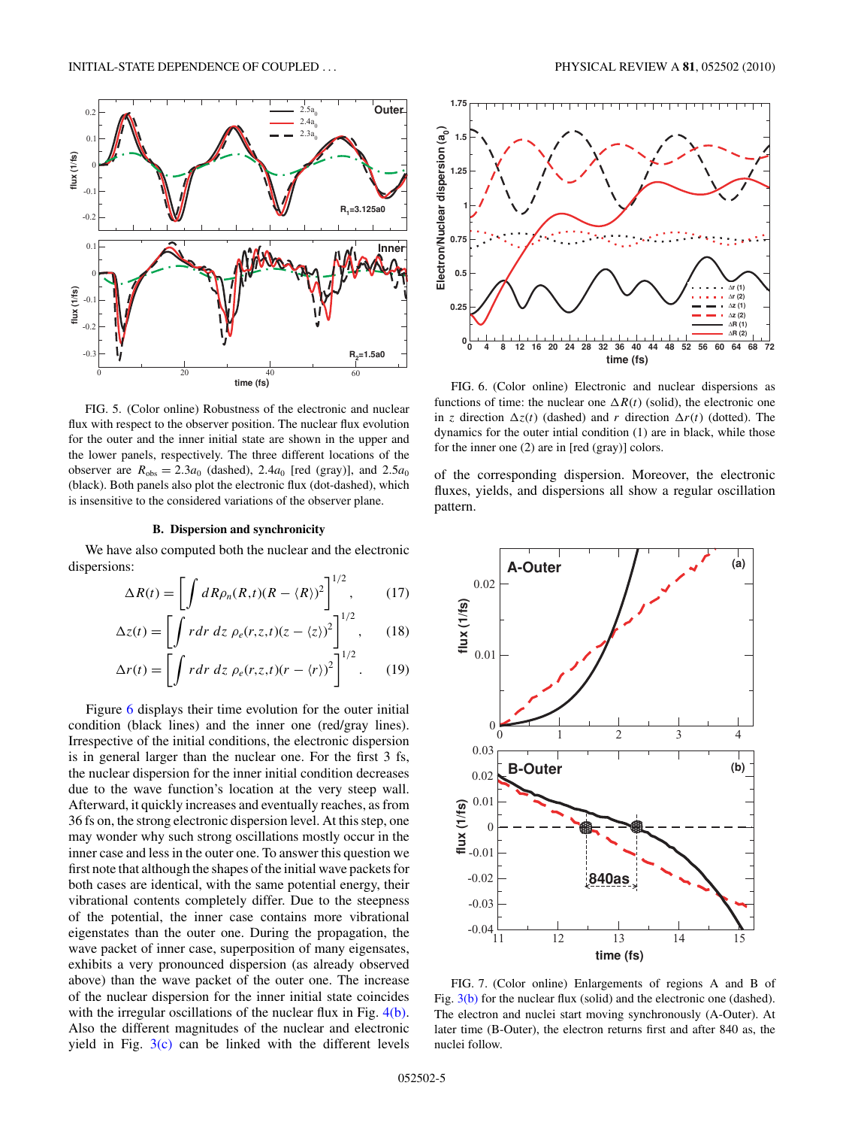<span id="page-4-0"></span>

FIG. 5. (Color online) Robustness of the electronic and nuclear flux with respect to the observer position. The nuclear flux evolution for the outer and the inner initial state are shown in the upper and the lower panels, respectively. The three different locations of the observer are  $R_{obs} = 2.3a_0$  (dashed), 2.4 $a_0$  [red (gray)], and 2.5 $a_0$ (black). Both panels also plot the electronic flux (dot-dashed), which is insensitive to the considered variations of the observer plane.

#### **B. Dispersion and synchronicity**

We have also computed both the nuclear and the electronic dispersions:

$$
\Delta R(t) = \left[ \int dR \rho_n(R, t) (R - \langle R \rangle)^2 \right]^{1/2}, \quad (17)
$$

$$
\Delta z(t) = \left[ \int r dr \ dz \ \rho_e(r, z, t) (z - \langle z \rangle)^2 \right]^{1/2}, \qquad (18)
$$

$$
\Delta r(t) = \left[ \int r dr dz \, \rho_e(r, z, t) (r - \langle r \rangle)^2 \right]^{1/2}.
$$
 (19)

Figure 6 displays their time evolution for the outer initial condition (black lines) and the inner one (red/gray lines). Irrespective of the initial conditions, the electronic dispersion is in general larger than the nuclear one. For the first 3 fs, the nuclear dispersion for the inner initial condition decreases due to the wave function's location at the very steep wall. Afterward, it quickly increases and eventually reaches, as from 36 fs on, the strong electronic dispersion level. At this step, one may wonder why such strong oscillations mostly occur in the inner case and less in the outer one. To answer this question we first note that although the shapes of the initial wave packets for both cases are identical, with the same potential energy, their vibrational contents completely differ. Due to the steepness of the potential, the inner case contains more vibrational eigenstates than the outer one. During the propagation, the wave packet of inner case, superposition of many eigensates, exhibits a very pronounced dispersion (as already observed above) than the wave packet of the outer one. The increase of the nuclear dispersion for the inner initial state coincides with the irregular oscillations of the nuclear flux in Fig. [4\(b\).](#page-3-0) Also the different magnitudes of the nuclear and electronic yield in Fig.  $3(c)$  can be linked with the different levels



FIG. 6. (Color online) Electronic and nuclear dispersions as functions of time: the nuclear one  $\Delta R(t)$  (solid), the electronic one in *z* direction  $\Delta z(t)$  (dashed) and *r* direction  $\Delta r(t)$  (dotted). The dynamics for the outer intial condition (1) are in black, while those for the inner one (2) are in [red (gray)] colors.

of the corresponding dispersion. Moreover, the electronic fluxes, yields, and dispersions all show a regular oscillation pattern.



FIG. 7. (Color online) Enlargements of regions A and B of Fig. [3\(b\)](#page-3-0) for the nuclear flux (solid) and the electronic one (dashed). The electron and nuclei start moving synchronously (A-Outer). At later time (B-Outer), the electron returns first and after 840 as, the nuclei follow.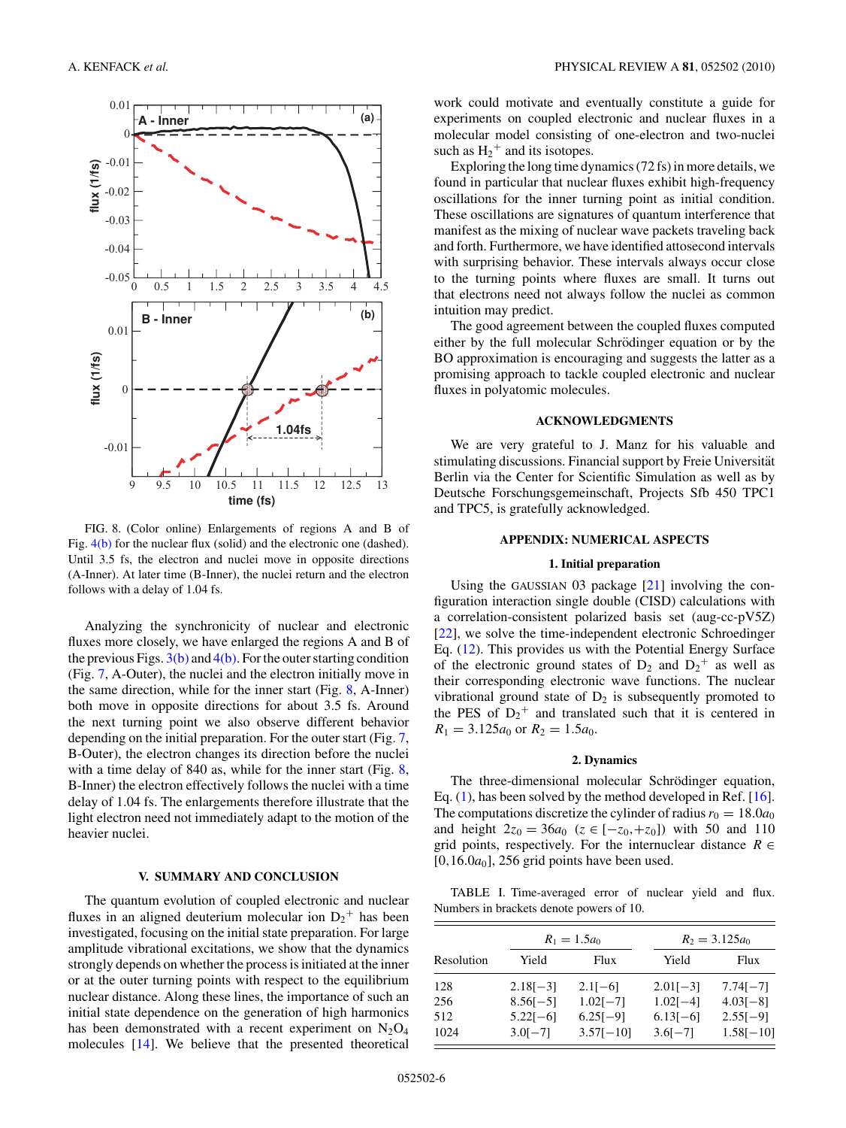<span id="page-5-0"></span>

FIG. 8. (Color online) Enlargements of regions A and B of Fig. [4\(b\)](#page-3-0) for the nuclear flux (solid) and the electronic one (dashed). Until 3.5 fs, the electron and nuclei move in opposite directions (A-Inner). At later time (B-Inner), the nuclei return and the electron follows with a delay of 1.04 fs.

Analyzing the synchronicity of nuclear and electronic fluxes more closely, we have enlarged the regions A and B of the previous Figs.  $3(b)$  and  $4(b)$ . For the outer starting condition (Fig. [7,](#page-4-0) A-Outer), the nuclei and the electron initially move in the same direction, while for the inner start (Fig. 8, A-Inner) both move in opposite directions for about 3.5 fs. Around the next turning point we also observe different behavior depending on the initial preparation. For the outer start (Fig. [7,](#page-4-0) B-Outer), the electron changes its direction before the nuclei with a time delay of 840 as, while for the inner start (Fig. 8, B-Inner) the electron effectively follows the nuclei with a time delay of 1.04 fs. The enlargements therefore illustrate that the light electron need not immediately adapt to the motion of the heavier nuclei.

### **V. SUMMARY AND CONCLUSION**

The quantum evolution of coupled electronic and nuclear fluxes in an aligned deuterium molecular ion  $D_2$ <sup>+</sup> has been investigated, focusing on the initial state preparation. For large amplitude vibrational excitations, we show that the dynamics strongly depends on whether the process is initiated at the inner or at the outer turning points with respect to the equilibrium nuclear distance. Along these lines, the importance of such an initial state dependence on the generation of high harmonics has been demonstrated with a recent experiment on  $N_2O_4$ molecules [\[14\]](#page-6-0). We believe that the presented theoretical

work could motivate and eventually constitute a guide for experiments on coupled electronic and nuclear fluxes in a molecular model consisting of one-electron and two-nuclei such as  $H_2$ <sup>+</sup> and its isotopes.

Exploring the long time dynamics (72 fs) in more details, we found in particular that nuclear fluxes exhibit high-frequency oscillations for the inner turning point as initial condition. These oscillations are signatures of quantum interference that manifest as the mixing of nuclear wave packets traveling back and forth. Furthermore, we have identified attosecond intervals with surprising behavior. These intervals always occur close to the turning points where fluxes are small. It turns out that electrons need not always follow the nuclei as common intuition may predict.

The good agreement between the coupled fluxes computed either by the full molecular Schrödinger equation or by the BO approximation is encouraging and suggests the latter as a promising approach to tackle coupled electronic and nuclear fluxes in polyatomic molecules.

### **ACKNOWLEDGMENTS**

We are very grateful to J. Manz for his valuable and stimulating discussions. Financial support by Freie Universität Berlin via the Center for Scientific Simulation as well as by Deutsche Forschungsgemeinschaft, Projects Sfb 450 TPC1 and TPC5, is gratefully acknowledged.

#### **APPENDIX: NUMERICAL ASPECTS**

# **1. Initial preparation**

Using the GAUSSIAN 03 package  $[21]$  involving the configuration interaction single double (CISD) calculations with a correlation-consistent polarized basis set (aug-cc-pV5Z) [\[22\]](#page-6-0), we solve the time-independent electronic Schroedinger Eq. [\(12\)](#page-2-0). This provides us with the Potential Energy Surface of the electronic ground states of  $D_2$  and  $D_2$ <sup>+</sup> as well as their corresponding electronic wave functions. The nuclear vibrational ground state of  $D_2$  is subsequently promoted to the PES of  $D_2$ <sup>+</sup> and translated such that it is centered in  $R_1 = 3.125a_0$  or  $R_2 = 1.5a_0$ .

### **2. Dynamics**

The three-dimensional molecular Schrödinger equation, Eq. [\(1\)](#page-0-0), has been solved by the method developed in Ref. [\[16\]](#page-6-0). The computations discretize the cylinder of radius  $r_0 = 18.0a_0$ and height  $2z_0 = 36a_0$  ( $z \in [-z_0, +z_0]$ ) with 50 and 110 grid points, respectively. For the internuclear distance  $R \in$  $[0, 16.0a_0]$ , 256 grid points have been used.

TABLE I. Time-averaged error of nuclear yield and flux. Numbers in brackets denote powers of 10.

|            | $R_1 = 1.5a_0$ |             | $R_2 = 3.125a_0$ |             |
|------------|----------------|-------------|------------------|-------------|
| Resolution | Yield          | Flux        | Yield            | Flux        |
| 128        | $2.18[-3]$     | $2.1[-6]$   | $2.01[-3]$       | $7.74[-7]$  |
| 256        | $8.56[-5]$     | $1.02[-7]$  | $1.02[-4]$       | $4.03[-8]$  |
| 512        | $5.22[-6]$     | $6.25[-9]$  | $6.13[-6]$       | $2.55[-9]$  |
| 1024       | $3.0[-7]$      | $3.57[-10]$ | $3.6[-7]$        | $1.58[-10]$ |